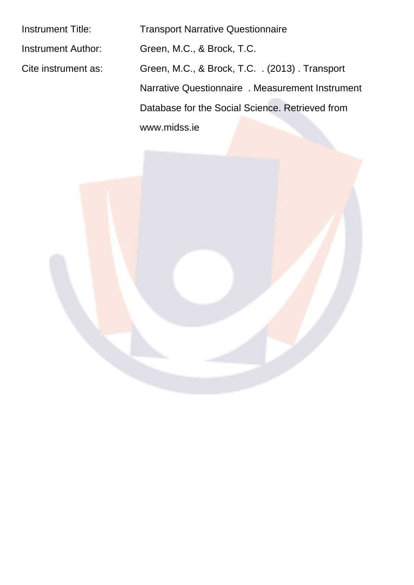Instrument Title: Transport Narrative Questionnaire Instrument Author: Green, M.C., & Brock, T.C. Cite instrument as: Green, M.C., & Brock, T.C. . (2013) . Transport Narrative Questionnaire . Measurement Instrument Database for the Social Science. Retrieved from www.midss.ie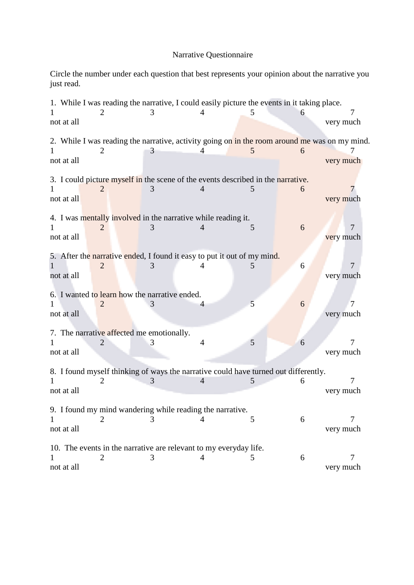## Narrative Questionnaire

Circle the number under each question that best represents your opinion about the narrative you just read.

|                                               |   |   | 1. While I was reading the narrative, I could easily picture the events in it taking place.   |   |   |                |
|-----------------------------------------------|---|---|-----------------------------------------------------------------------------------------------|---|---|----------------|
|                                               |   |   | 4                                                                                             | 5 |   |                |
| not at all                                    |   |   |                                                                                               |   |   | very much      |
|                                               |   |   | 2. While I was reading the narrative, activity going on in the room around me was on my mind. |   |   |                |
|                                               | 2 | 3 |                                                                                               | 5 | 6 |                |
| not at all                                    |   |   |                                                                                               |   |   | very much      |
|                                               |   |   | 3. I could picture myself in the scene of the events described in the narrative.              |   |   |                |
|                                               |   | 3 |                                                                                               | C | 6 |                |
| not at all                                    |   |   |                                                                                               |   |   | very much      |
|                                               |   |   |                                                                                               |   |   |                |
|                                               | 2 |   | 4. I was mentally involved in the narrative while reading it.                                 | 5 | 6 | 7              |
| not at all                                    |   |   |                                                                                               |   |   | very much      |
|                                               |   |   |                                                                                               |   |   |                |
|                                               |   |   | 5. After the narrative ended, I found it easy to put it out of my mind.                       |   |   |                |
| not at all                                    |   |   |                                                                                               | 5 | 6 | 7<br>very much |
|                                               |   |   |                                                                                               |   |   |                |
| 6. I wanted to learn how the narrative ended. |   |   |                                                                                               |   |   |                |
|                                               | 2 |   | 4                                                                                             | 5 | 6 | 7              |
| not at all                                    |   |   |                                                                                               |   |   | very much      |
| 7. The narrative affected me emotionally.     |   |   |                                                                                               |   |   |                |
|                                               |   |   | 4                                                                                             | 5 | 6 | 7              |
| not at all                                    |   |   |                                                                                               |   |   | very much      |
|                                               |   |   | 8. I found myself thinking of ways the narrative could have turned out differently.           |   |   |                |
|                                               | 2 |   | $\overline{4}$                                                                                | 5 | 6 |                |
| not at all                                    |   |   |                                                                                               |   |   | very much      |
|                                               |   |   |                                                                                               |   |   |                |
|                                               |   |   | 9. I found my mind wandering while reading the narrative.                                     | 5 | 6 | 7              |
| not at all                                    |   |   |                                                                                               |   |   | very much      |
|                                               |   |   |                                                                                               |   |   |                |
|                                               |   |   | 10. The events in the narrative are relevant to my everyday life.                             |   |   |                |
|                                               | 2 | 3 | 4                                                                                             | 5 | 6 | 7              |
| not at all                                    |   |   |                                                                                               |   |   | very much      |